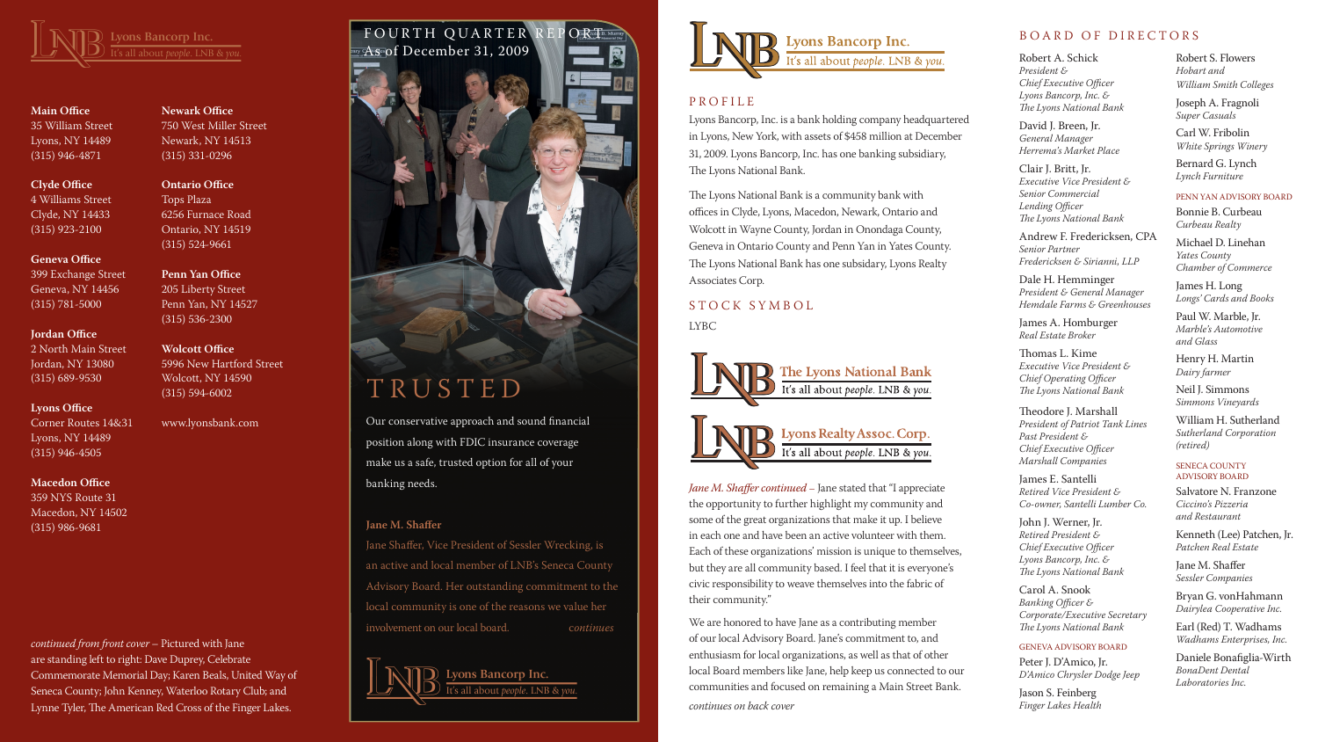

**Main Office** 35 William Street Lyons, NY 14489 (315) 946-4871

**Clyde Office** 4 Williams Street Clyde, NY 14433 (315) 923-2100

**Geneva Office** 399 Exchange Street Geneva, NY 14456 (315) 781-5000

#### **Jordan Office**

2 North Main Street Jordan, NY 13080 (315) 689-9530

#### **Lyons Office**

Corner Routes 14&31 Lyons, NY 14489 (315) 946-4505

#### **Macedon Office**

359 NYS Route 31 Macedon, NY 14502 (315) 986-9681

**Newark Office** 750 West Miller Street Newark, NY 14513 (315) 331-0296

#### **Ontario Office** Tops Plaza 6256 Furnace Road Ontario, NY 14519 (315) 524-9661

**Penn Yan Office** 205 Liberty Street Penn Yan, NY 14527 (315) 536-2300

**Wolcott Office**

5996 New Hartford Street

Wolcott, NY 14590 (315) 594-6002 www.lyonsbank.com

Lyons Bancorp, Inc. is a bank holding company headquartered in Lyons, New York, with assets of \$458 million at December 31, 2009. Lyons Bancorp, Inc. has one banking subsidiary, The Lyons National Bank.

The Lyons National Bank is a community bank with offices in Clyde, Lyons, Macedon, Newark, Ontario and Wolcott in Wayne County, Jordan in Onondaga County, Geneva in Ontario County and Penn Yan in Yates County. The Lyons National Bank has one subsidary, Lyons Realty Associates Corp.

# S T O C K S Y M B O L

LYBC



Robert A. Schick *President & Chief Executive Officer Lyons Bancorp, Inc. & The Lyons National Bank*

David J. Breen, Jr. *General Manager Herrema's Market Place*

Clair J. Britt, Jr. *Executive Vice President & Senior Commercial Lending Officer The Lyons National Bank*

Andrew F. Fredericksen, CPA *Senior Partner Fredericksen & Sirianni, LLP*

Dale H. Hemminger *President & General Manager Hemdale Farms & Greenhouses* 

James A. Homburger *Real Estate Broker*

Thomas L. Kime *Executive Vice President & Chief Operating Officer The Lyons National Bank*

Theodore J. Marshall *President of Patriot Tank Lines Past President & Chief Executive Officer Marshall Companies*

James E. Santelli *Retired Vice President & Co-owner, Santelli Lumber Co.*

John J. Werner, Jr. *Retired President & Chief Executive Officer Lyons Bancorp, Inc. & The Lyons National Bank*

Carol A. Snook *Banking Officer & Corporate/Executive Secretary The Lyons National Bank*

#### GENEVA ADVISORY BOARD

Peter J. D'Amico, Jr. *D'Amico Chrysler Dodge Jeep*

Jason S. Feinberg *Finger Lakes Health* Robert S. Flowers *Hobart and William Smith Colleges*

Joseph A. Fragnoli *Super Casuals*

Carl W. Fribolin *White Springs Winery*

Bernard G. Lynch *Lynch Furniture*

#### PENN YAN ADVISORY BOARD

Bonnie B. Curbeau *Curbeau Realty*

Michael D. Linehan *Yates County Chamber of Commerce*

James H. Long *Longs' Cards and Books*

Paul W. Marble, Jr. *Marble's Automotive and Glass*

Henry H. Martin *Dairy farmer*

Neil J. Simmons *Simmons Vineyards*

William H. Sutherland *Sutherland Corporation (retired)*

#### SENECA COUNTY ADVISORY BOARD

Salvatore N. Franzone *Ciccino's Pizzeria and Restaurant*

Kenneth (Lee) Patchen, Jr. *Patchen Real Estate*

Jane M. Shaffer *Sessler Companies*

Bryan G. vonHahmann *Dairylea Cooperative Inc.*

Earl (Red) T. Wadhams *Wadhams Enterprises, Inc.*

Daniele Bonafiglia-Wirth *BonaDent Dental Laboratories Inc.*



# T R U S T E D

Our conservative approach and sound financial position along with FDIC insurance coverage make us a safe, trusted option for all of your banking needs.

### **Jane M. Shaffer**

Jane Shaffer, Vice President of Sessler Wrecking, is an active and local member of LNB's Seneca County Advisory Board. Her outstanding commitment to the local community is one of the reasons we value her involvement on our local board. c*ontinues*

Lyons Bancorp Inc. 's all about *people*. LNB & you



## **P R O F I L E**

*Jane M. Shaffer continued* – Jane stated that "I appreciate the opportunity to further highlight my community and some of the great organizations that make it up. I believe in each one and have been an active volunteer with them. Each of these organizations' mission is unique to themselves, but they are all community based. I feel that it is everyone's civic responsibility to weave themselves into the fabric of their community."

We are honored to have Jane as a contributing member of our local Advisory Board. Jane's commitment to, and enthusiasm for local organizations, as well as that of other local Board members like Jane, help keep us connected to our communities and focused on remaining a Main Street Bank.

*continues on back cover*

#### BOARD OF DIRECTORS

*continued from front cover* – Pictured with Jane are standing left to right: Dave Duprey, Celebrate Commemorate Memorial Day; Karen Beals, United Way of Seneca County; John Kenney, Waterloo Rotary Club; and Lynne Tyler, The American Red Cross of the Finger Lakes.